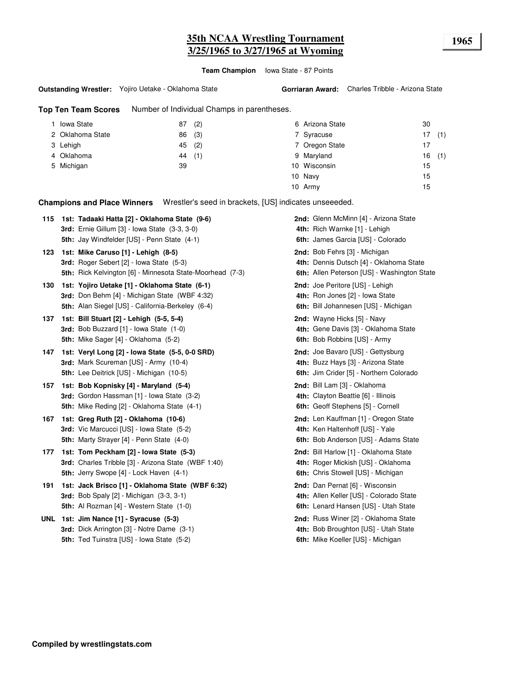# **35th NCAA Wrestling Tournament 1965 3/25/1965 to 3/27/1965 at Wyoming**

**Team Champion** Iowa State - 87 Points

#### **Outstanding Wrestler:** Yojiro Uetake - Oklahoma State

**Top Ten Team Scores** Number of Individual Champs in parentheses.

| Iowa State       | (2)<br>87 | 6 Arizona State | 30        |
|------------------|-----------|-----------------|-----------|
| 2 Oklahoma State | (3)<br>86 | 7 Syracuse      | (1)<br>17 |
| 3 Lehigh         | (2)<br>45 | 7 Oregon State  | 17        |
| 4 Oklahoma       | 44 (1)    | 9 Maryland      | (1)<br>16 |
| 5 Michigan       | 39        | 10 Wisconsin    | 15        |
|                  |           | 10 Navy         | 15        |
|                  |           | 10 Army         | 15        |

**Champions and Place Winners** Wrestler's seed in brackets, [US] indicates unseeeded.

| 115 | 1st: Tadaaki Hatta [2] - Oklahoma State (9-6)                    | 2nd: Glenn McMinn [4] - Arizona State       |
|-----|------------------------------------------------------------------|---------------------------------------------|
|     | <b>3rd:</b> Ernie Gillum [3] - Iowa State (3-3, 3-0)             | 4th: Rich Warnke [1] - Lehigh               |
|     | 5th: Jay Windfelder [US] - Penn State (4-1)                      | 6th: James Garcia [US] - Colorado           |
| 123 | 1st: Mike Caruso [1] - Lehigh (8-5)                              | 2nd: Bob Fehrs [3] - Michigan               |
|     | 3rd: Roger Sebert [2] - Iowa State (5-3)                         | 4th: Dennis Dutsch [4] - Oklahoma State     |
|     | <b>5th:</b> Rick Kelvington [6] - Minnesota State-Moorhead (7-3) | 6th: Allen Peterson [US] - Washington State |
| 130 | 1st: Yojiro Uetake [1] - Oklahoma State (6-1)                    | 2nd: Joe Peritore [US] - Lehigh             |
|     | 3rd: Don Behm [4] - Michigan State (WBF 4:32)                    | 4th: Ron Jones [2] - Iowa State             |
|     | 5th: Alan Siegel [US] - California-Berkeley (6-4)                | 6th: Bill Johannesen [US] - Michigan        |
| 137 | 1st: Bill Stuart [2] - Lehigh (5-5, 5-4)                         | 2nd: Wayne Hicks [5] - Navy                 |
|     | <b>3rd:</b> Bob Buzzard [1] - Iowa State (1-0)                   | 4th: Gene Davis [3] - Oklahoma State        |
|     | <b>5th:</b> Mike Sager [4] - Oklahoma (5-2)                      | 6th: Bob Robbins [US] - Army                |
| 147 | 1st: Veryl Long [2] - Iowa State (5-5, 0-0 SRD)                  | 2nd: Joe Bavaro [US] - Gettysburg           |
|     | 3rd: Mark Scureman [US] - Army (10-4)                            | 4th: Buzz Hays [3] - Arizona State          |
|     | <b>5th:</b> Lee Deitrick [US] - Michigan (10-5)                  | 6th: Jim Crider [5] - Northern Colorado     |
| 157 | 1st: Bob Kopnisky [4] - Maryland (5-4)                           | 2nd: Bill Lam [3] - Oklahoma                |
|     | 3rd: Gordon Hassman [1] - Iowa State (3-2)                       | 4th: Clayton Beattie [6] - Illinois         |
|     | <b>5th:</b> Mike Reding [2] - Oklahoma State (4-1)               | 6th: Geoff Stephens [5] - Cornell           |
| 167 | 1st: Greg Ruth [2] - Oklahoma (10-6)                             | 2nd: Len Kauffman [1] - Oregon State        |
|     | <b>3rd:</b> Vic Marcucci [US] - Iowa State (5-2)                 | 4th: Ken Haltenhoff [US] - Yale             |
|     | <b>5th:</b> Marty Strayer [4] - Penn State (4-0)                 | 6th: Bob Anderson [US] - Adams State        |
| 177 | 1st: Tom Peckham [2] - Iowa State (5-3)                          | 2nd: Bill Harlow [1] - Oklahoma State       |
|     | 3rd: Charles Tribble [3] - Arizona State (WBF 1:40)              | 4th: Roger Mickish [US] - Oklahoma          |
|     | 5th: Jerry Swope [4] - Lock Haven (4-1)                          | 6th: Chris Stowell [US] - Michigan          |
| 191 | 1st: Jack Brisco [1] - Oklahoma State (WBF 6:32)                 | 2nd: Dan Pernat [6] - Wisconsin             |
|     | <b>3rd:</b> Bob Spaly [2] - Michigan (3-3, 3-1)                  | 4th: Allen Keller [US] - Colorado State     |
|     | 5th: Al Rozman [4] - Western State (1-0)                         | 6th: Lenard Hansen [US] - Utah State        |
|     | UNL 1st: Jim Nance [1] - Syracuse (5-3)                          | 2nd: Russ Winer [2] - Oklahoma State        |
|     | 3rd: Dick Arrington [3] - Notre Dame (3-1)                       | 4th: Bob Broughton [US] - Utah State        |
|     |                                                                  |                                             |

6th: Mike Koeller [US] - Michigan **5th: 6th:** Ted Tuinstra [US] - Iowa State (5-2)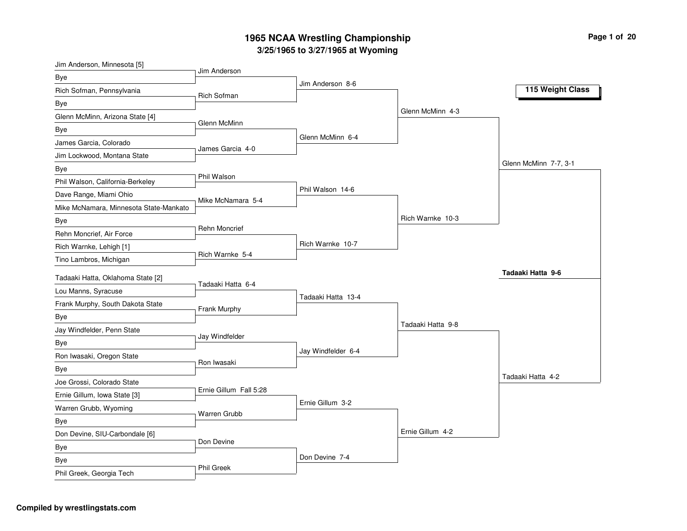| Jim Anderson, Minnesota [5]            | Jim Anderson           |                    |                   |                       |
|----------------------------------------|------------------------|--------------------|-------------------|-----------------------|
| <b>Bye</b>                             |                        | Jim Anderson 8-6   |                   |                       |
| Rich Sofman, Pennsylvania              | <b>Rich Sofman</b>     |                    |                   | 115 Weight Class      |
| Bye                                    |                        |                    |                   |                       |
| Glenn McMinn, Arizona State [4]        | Glenn McMinn           |                    | Glenn McMinn 4-3  |                       |
| Bye                                    |                        |                    |                   |                       |
| James Garcia, Colorado                 | James Garcia 4-0       | Glenn McMinn 6-4   |                   |                       |
| Jim Lockwood, Montana State            |                        |                    |                   |                       |
| Bye                                    |                        |                    |                   | Glenn McMinn 7-7, 3-1 |
| Phil Walson, California-Berkeley       | Phil Walson            |                    |                   |                       |
| Dave Range, Miami Ohio                 | Mike McNamara 5-4      | Phil Walson 14-6   |                   |                       |
| Mike McNamara, Minnesota State-Mankato |                        |                    |                   |                       |
| Bye                                    |                        |                    | Rich Warnke 10-3  |                       |
| Rehn Moncrief, Air Force               | <b>Rehn Moncrief</b>   |                    |                   |                       |
| Rich Warnke, Lehigh [1]                |                        | Rich Warnke 10-7   |                   |                       |
| Tino Lambros, Michigan                 | Rich Warnke 5-4        |                    |                   |                       |
| Tadaaki Hatta, Oklahoma State [2]      |                        |                    |                   | Tadaaki Hatta 9-6     |
| Lou Manns, Syracuse                    | Tadaaki Hatta 6-4      |                    |                   |                       |
| Frank Murphy, South Dakota State       |                        | Tadaaki Hatta 13-4 |                   |                       |
| Bye                                    | Frank Murphy           |                    |                   |                       |
| Jay Windfelder, Penn State             |                        |                    | Tadaaki Hatta 9-8 |                       |
| Bye                                    | Jay Windfelder         |                    |                   |                       |
| Ron Iwasaki, Oregon State              |                        | Jay Windfelder 6-4 |                   |                       |
| <b>Bye</b>                             | Ron Iwasaki            |                    |                   |                       |
| Joe Grossi, Colorado State             |                        |                    |                   | Tadaaki Hatta 4-2     |
| Ernie Gillum, Iowa State [3]           | Ernie Gillum Fall 5:28 |                    |                   |                       |
| Warren Grubb, Wyoming                  |                        | Ernie Gillum 3-2   |                   |                       |
| <b>Bye</b>                             | Warren Grubb           |                    |                   |                       |
| Don Devine, SIU-Carbondale [6]         |                        |                    | Ernie Gillum 4-2  |                       |
| Bye                                    | Don Devine             |                    |                   |                       |
| Bye                                    |                        | Don Devine 7-4     |                   |                       |
| Phil Greek, Georgia Tech               | <b>Phil Greek</b>      |                    |                   |                       |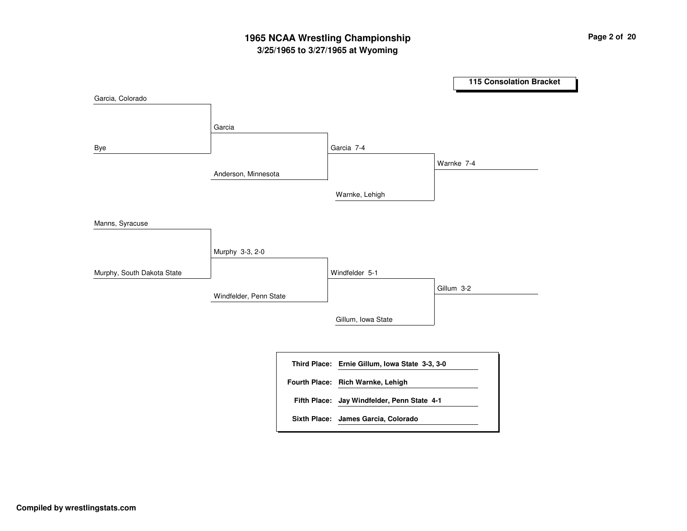## **3/25/1965 to 3/27/1965 at Wyoming 1965 NCAA Wrestling Championship Page <sup>2</sup> of <sup>20</sup>**

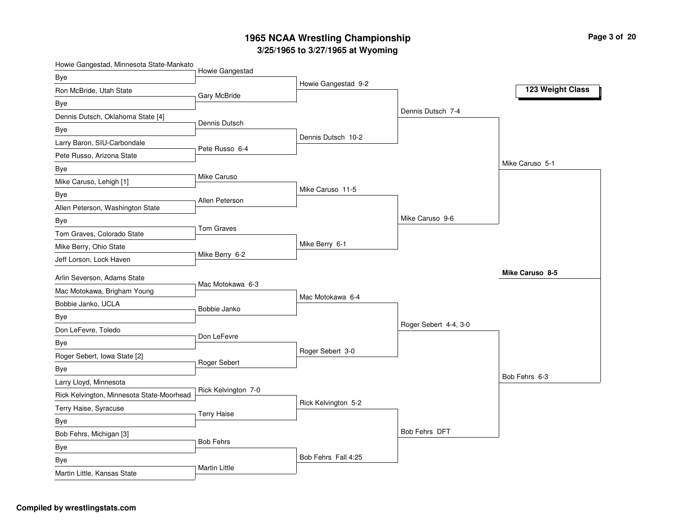**Pag e 3 of 20**

|  | Howie Gangestad, Minnesota State-Mankato |
|--|------------------------------------------|
|--|------------------------------------------|

|                                           | Howie Gangestad      |                     |                       |                  |
|-------------------------------------------|----------------------|---------------------|-----------------------|------------------|
| Bye                                       |                      | Howie Gangestad 9-2 |                       |                  |
| Ron McBride, Utah State                   | Gary McBride         |                     |                       | 123 Weight Class |
| Bye                                       |                      |                     | Dennis Dutsch 7-4     |                  |
| Dennis Dutsch, Oklahoma State [4]         | Dennis Dutsch        |                     |                       |                  |
| Bye                                       |                      | Dennis Dutsch 10-2  |                       |                  |
| Larry Baron, SIU-Carbondale               | Pete Russo 6-4       |                     |                       |                  |
| Pete Russo, Arizona State                 |                      |                     |                       |                  |
| Bye                                       |                      |                     |                       | Mike Caruso 5-1  |
| Mike Caruso, Lehigh [1]                   | Mike Caruso          |                     |                       |                  |
| Bye                                       | Allen Peterson       | Mike Caruso 11-5    |                       |                  |
| Allen Peterson, Washington State          |                      |                     |                       |                  |
| Bye                                       |                      |                     | Mike Caruso 9-6       |                  |
| Tom Graves, Colorado State                | <b>Tom Graves</b>    |                     |                       |                  |
| Mike Berry, Ohio State                    |                      | Mike Berry 6-1      |                       |                  |
| Jeff Lorson, Lock Haven                   | Mike Berry 6-2       |                     |                       |                  |
|                                           |                      |                     |                       | Mike Caruso 8-5  |
| Arlin Severson, Adams State               | Mac Motokawa 6-3     |                     |                       |                  |
| Mac Motokawa, Brigham Young               |                      | Mac Motokawa 6-4    |                       |                  |
| Bobbie Janko, UCLA                        | Bobbie Janko         |                     |                       |                  |
| Bye                                       |                      |                     | Roger Sebert 4-4, 3-0 |                  |
| Don LeFevre, Toledo                       | Don LeFevre          |                     |                       |                  |
| Bye                                       |                      | Roger Sebert 3-0    |                       |                  |
| Roger Sebert, Iowa State [2]              | Roger Sebert         |                     |                       |                  |
| Bye                                       |                      |                     |                       | Bob Fehrs 6-3    |
| Larry Lloyd, Minnesota                    | Rick Kelvington 7-0  |                     |                       |                  |
| Rick Kelvington, Minnesota State-Moorhead |                      | Rick Kelvington 5-2 |                       |                  |
| Terry Haise, Syracuse                     | <b>Terry Haise</b>   |                     |                       |                  |
| Bye                                       |                      |                     |                       |                  |
| Bob Fehrs, Michigan [3]                   |                      |                     | Bob Fehrs DFT         |                  |
| Bye                                       | <b>Bob Fehrs</b>     |                     |                       |                  |
| Bye                                       |                      | Bob Fehrs Fall 4:25 |                       |                  |
| Martin Little, Kansas State               | <b>Martin Little</b> |                     |                       |                  |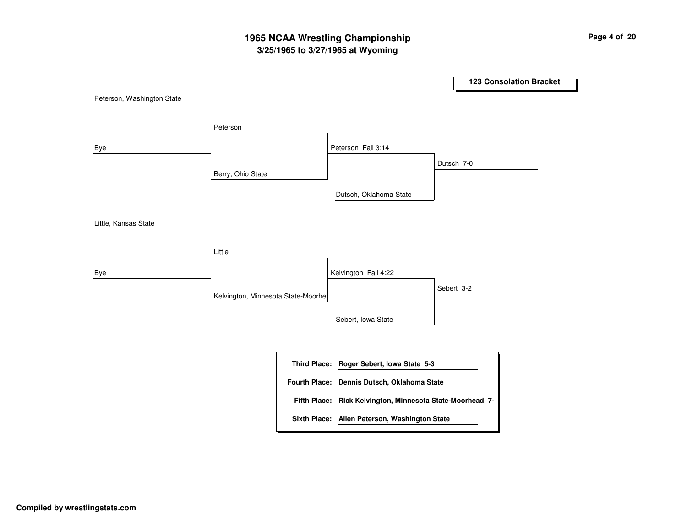## **3/25/1965 to 3/27/1965 at Wyoming 1965 NCAA Wrestling Championship Page <sup>4</sup> of <sup>20</sup>**

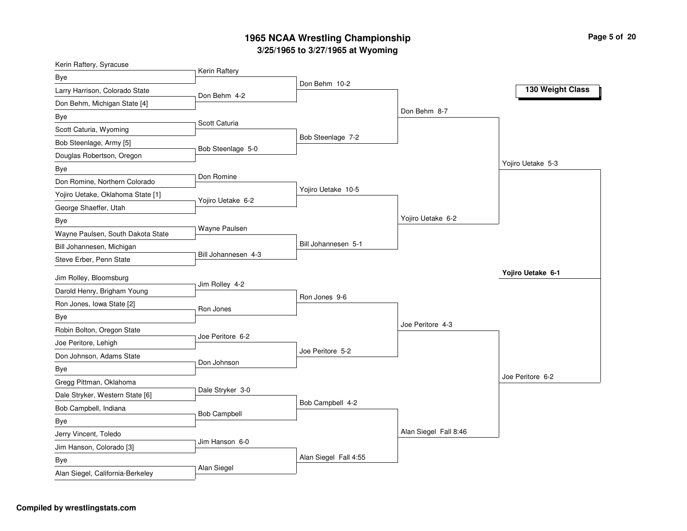| Kerin Raftery, Syracuse           |                     |                       |                       |                   |
|-----------------------------------|---------------------|-----------------------|-----------------------|-------------------|
| Bye                               | Kerin Raftery       |                       |                       |                   |
| Larry Harrison, Colorado State    | Don Behm 4-2        | Don Behm 10-2         |                       | 130 Weight Class  |
| Don Behm, Michigan State [4]      |                     |                       |                       |                   |
| Bye                               |                     |                       | Don Behm 8-7          |                   |
| Scott Caturia, Wyoming            | Scott Caturia       |                       |                       |                   |
| Bob Steenlage, Army [5]           | Bob Steenlage 5-0   | Bob Steenlage 7-2     |                       |                   |
| Douglas Robertson, Oregon         |                     |                       |                       |                   |
| Bye                               |                     |                       |                       | Yojiro Uetake 5-3 |
| Don Romine, Northern Colorado     | Don Romine          |                       |                       |                   |
| Yojiro Uetake, Oklahoma State [1] | Yojiro Uetake 6-2   | Yojiro Uetake 10-5    |                       |                   |
| George Shaeffer, Utah             |                     |                       |                       |                   |
| <b>Bye</b>                        |                     |                       | Yojiro Uetake 6-2     |                   |
| Wayne Paulsen, South Dakota State | Wayne Paulsen       |                       |                       |                   |
| Bill Johannesen, Michigan         |                     | Bill Johannesen 5-1   |                       |                   |
| Steve Erber, Penn State           | Bill Johannesen 4-3 |                       |                       |                   |
| Jim Rolley, Bloomsburg            |                     |                       |                       | Yojiro Uetake 6-1 |
| Darold Henry, Brigham Young       | Jim Rolley 4-2      |                       |                       |                   |
| Ron Jones, Iowa State [2]         |                     | Ron Jones 9-6         |                       |                   |
| Bye                               | Ron Jones           |                       |                       |                   |
| Robin Bolton, Oregon State        |                     |                       | Joe Peritore 4-3      |                   |
| Joe Peritore, Lehigh              | Joe Peritore 6-2    |                       |                       |                   |
| Don Johnson, Adams State          |                     | Joe Peritore 5-2      |                       |                   |
| Bye                               | Don Johnson         |                       |                       |                   |
| Gregg Pittman, Oklahoma           |                     |                       |                       | Joe Peritore 6-2  |
| Dale Stryker, Western State [6]   | Dale Stryker 3-0    |                       |                       |                   |
| Bob Campbell, Indiana             |                     | Bob Campbell 4-2      |                       |                   |
| <b>Bye</b>                        | <b>Bob Campbell</b> |                       |                       |                   |
| Jerry Vincent, Toledo             |                     |                       | Alan Siegel Fall 8:46 |                   |
| Jim Hanson, Colorado [3]          | Jim Hanson 6-0      |                       |                       |                   |
| Bye                               |                     | Alan Siegel Fall 4:55 |                       |                   |
| Alan Siegel, California-Berkeley  | Alan Siegel         |                       |                       |                   |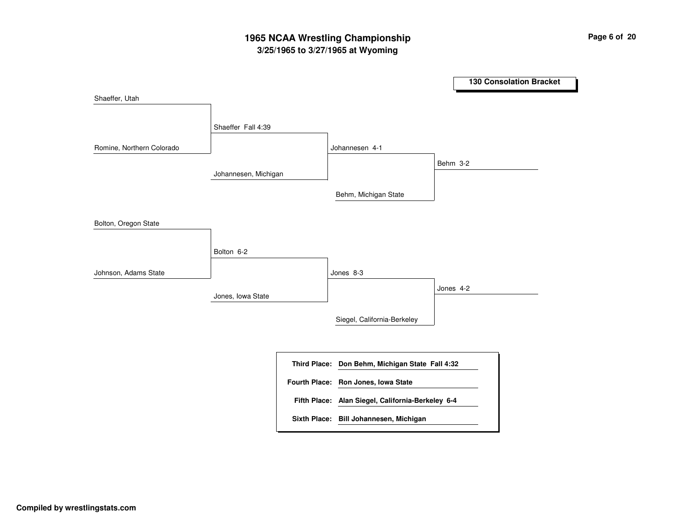## **3/25/1965 to 3/27/1965 at Wyoming 1965 NCAA Wrestling Championship Page <sup>6</sup> of <sup>20</sup>**

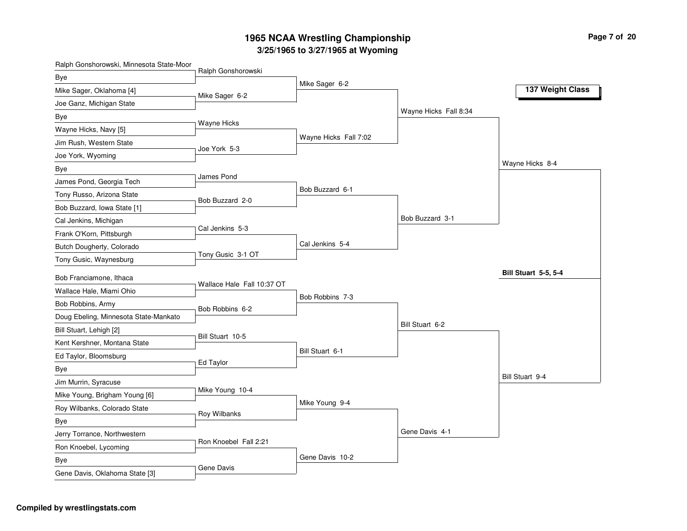| Ralph Gonshorowski, Minnesota State-Moor |                            |                       |                       |                             |
|------------------------------------------|----------------------------|-----------------------|-----------------------|-----------------------------|
| <b>Bye</b>                               | Ralph Gonshorowski         |                       |                       |                             |
| Mike Sager, Oklahoma [4]                 | Mike Sager 6-2             | Mike Sager 6-2        |                       | 137 Weight Class            |
| Joe Ganz, Michigan State                 |                            |                       |                       |                             |
| Bye                                      |                            |                       | Wayne Hicks Fall 8:34 |                             |
| Wayne Hicks, Navy [5]                    | Wayne Hicks                |                       |                       |                             |
| Jim Rush, Western State                  |                            | Wayne Hicks Fall 7:02 |                       |                             |
| Joe York, Wyoming                        | Joe York 5-3               |                       |                       |                             |
| <b>Bye</b>                               |                            |                       |                       | Wayne Hicks 8-4             |
| James Pond, Georgia Tech                 | James Pond                 |                       |                       |                             |
| Tony Russo, Arizona State                |                            | Bob Buzzard 6-1       |                       |                             |
| Bob Buzzard, Iowa State [1]              | Bob Buzzard 2-0            |                       |                       |                             |
| Cal Jenkins, Michigan                    |                            |                       | Bob Buzzard 3-1       |                             |
| Frank O'Korn, Pittsburgh                 | Cal Jenkins 5-3            |                       |                       |                             |
| Butch Dougherty, Colorado                |                            | Cal Jenkins 5-4       |                       |                             |
| Tony Gusic, Waynesburg                   | Tony Gusic 3-1 OT          |                       |                       |                             |
| Bob Franciamone, Ithaca                  |                            |                       |                       | <b>Bill Stuart 5-5, 5-4</b> |
| Wallace Hale, Miami Ohio                 | Wallace Hale Fall 10:37 OT |                       |                       |                             |
| Bob Robbins, Army                        |                            | Bob Robbins 7-3       |                       |                             |
| Doug Ebeling, Minnesota State-Mankato    | Bob Robbins 6-2            |                       |                       |                             |
| Bill Stuart, Lehigh [2]                  |                            |                       | Bill Stuart 6-2       |                             |
| Kent Kershner, Montana State             | Bill Stuart 10-5           |                       |                       |                             |
|                                          |                            | Bill Stuart 6-1       |                       |                             |
| Ed Taylor, Bloomsburg                    | Ed Taylor                  |                       |                       |                             |
| Bye                                      |                            |                       |                       | Bill Stuart 9-4             |
| Jim Murrin, Syracuse                     | Mike Young 10-4            |                       |                       |                             |
| Mike Young, Brigham Young [6]            |                            | Mike Young 9-4        |                       |                             |
| Roy Wilbanks, Colorado State             | Roy Wilbanks               |                       |                       |                             |
| Bye                                      |                            |                       | Gene Davis 4-1        |                             |
| Jerry Torrance, Northwestern             | Ron Knoebel Fall 2:21      |                       |                       |                             |
| Ron Knoebel, Lycoming                    |                            | Gene Davis 10-2       |                       |                             |
| Bye                                      | Gene Davis                 |                       |                       |                             |
| Gene Davis, Oklahoma State [3]           |                            |                       |                       |                             |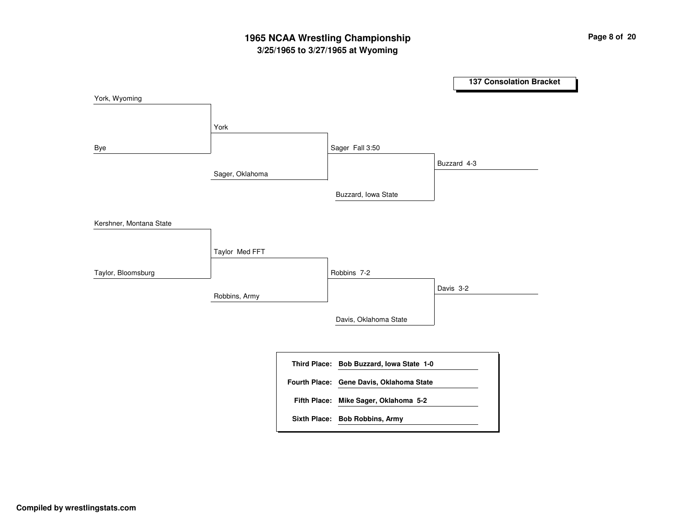## **3/25/1965 to 3/27/1965 at Wyoming 1965 NCAA Wrestling Championship Page <sup>8</sup> of <sup>20</sup>**

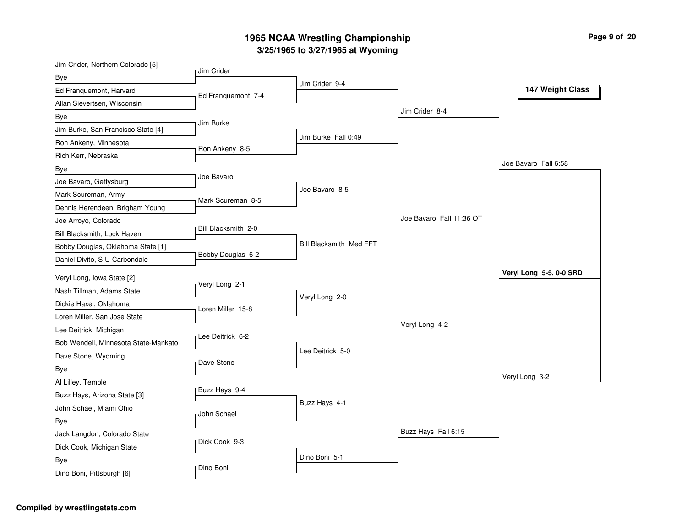| Jim Crider, Northern Colorado [5]    | Jim Crider          |                         |                          |                         |
|--------------------------------------|---------------------|-------------------------|--------------------------|-------------------------|
| Bye                                  |                     | Jim Crider 9-4          |                          |                         |
| Ed Franquemont, Harvard              | Ed Franquemont 7-4  |                         |                          | 147 Weight Class        |
| Allan Sievertsen, Wisconsin          |                     |                         |                          |                         |
| Bye                                  |                     |                         | Jim Crider 8-4           |                         |
| Jim Burke, San Francisco State [4]   | Jim Burke           |                         |                          |                         |
| Ron Ankeny, Minnesota                |                     | Jim Burke Fall 0:49     |                          |                         |
| Rich Kerr, Nebraska                  | Ron Ankeny 8-5      |                         |                          |                         |
| Bye                                  |                     |                         |                          | Joe Bavaro Fall 6:58    |
| Joe Bavaro, Gettysburg               | Joe Bavaro          |                         |                          |                         |
| Mark Scureman, Army                  | Mark Scureman 8-5   | Joe Bavaro 8-5          |                          |                         |
| Dennis Herendeen, Brigham Young      |                     |                         |                          |                         |
| Joe Arroyo, Colorado                 |                     |                         | Joe Bavaro Fall 11:36 OT |                         |
| Bill Blacksmith, Lock Haven          | Bill Blacksmith 2-0 |                         |                          |                         |
| Bobby Douglas, Oklahoma State [1]    |                     | Bill Blacksmith Med FFT |                          |                         |
| Daniel Divito, SIU-Carbondale        | Bobby Douglas 6-2   |                         |                          |                         |
| Veryl Long, Iowa State [2]           |                     |                         |                          | Veryl Long 5-5, 0-0 SRD |
| Nash Tillman, Adams State            | Veryl Long 2-1      |                         |                          |                         |
| Dickie Haxel, Oklahoma               | Loren Miller 15-8   | Veryl Long 2-0          |                          |                         |
| Loren Miller, San Jose State         |                     |                         |                          |                         |
| Lee Deitrick, Michigan               |                     |                         | Veryl Long 4-2           |                         |
| Bob Wendell, Minnesota State-Mankato | Lee Deitrick 6-2    |                         |                          |                         |
| Dave Stone, Wyoming                  |                     | Lee Deitrick 5-0        |                          |                         |
| Bye                                  | Dave Stone          |                         |                          |                         |
| Al Lilley, Temple                    |                     |                         |                          | Veryl Long 3-2          |
| Buzz Hays, Arizona State [3]         | Buzz Hays 9-4       |                         |                          |                         |
| John Schael, Miami Ohio              |                     | Buzz Hays 4-1           |                          |                         |
| <b>Bye</b>                           | John Schael         |                         |                          |                         |
| Jack Langdon, Colorado State         |                     |                         | Buzz Hays Fall 6:15      |                         |
| Dick Cook, Michigan State            | Dick Cook 9-3       |                         |                          |                         |
| Bye                                  |                     | Dino Boni 5-1           |                          |                         |
| Dino Boni, Pittsburgh [6]            | Dino Boni           |                         |                          |                         |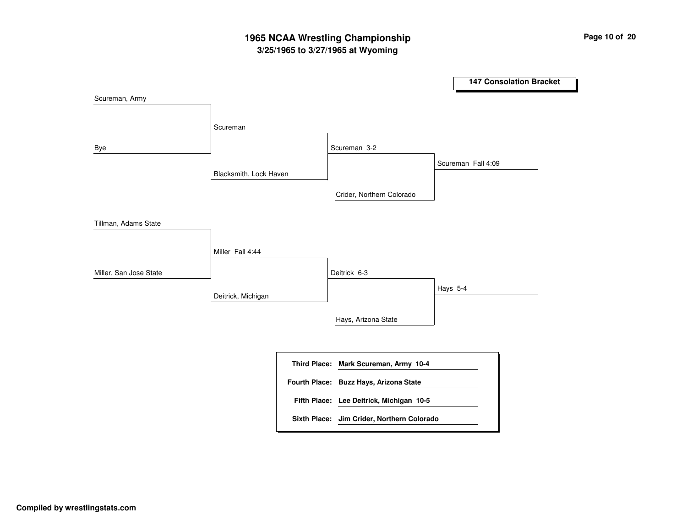## **3/25/1965 to 3/27/1965 at Wyoming 1965 NCAA Wrestling Championship Page <sup>10</sup> of <sup>20</sup>**

**147 Consolation Bracket** Blacksmith, Lock Haven Deitrick, Michigan ScuremanMiller Fall 4:44 Scureman 3-2 Deitrick 6-3Crider, Northern Colorado Hays, Arizona State Scureman Fall 4:09 Hays 5-4 Scureman, Army Bye Tillman, Adams State Miller, San Jose State **Mark Scureman, Army 10-4 Third Place: Lee Deitrick, Michigan 10-5 Fifth Place: Fourth Place: Buzz Hays, Arizona State Sixth Place: Jim Crider, Northern Colorado**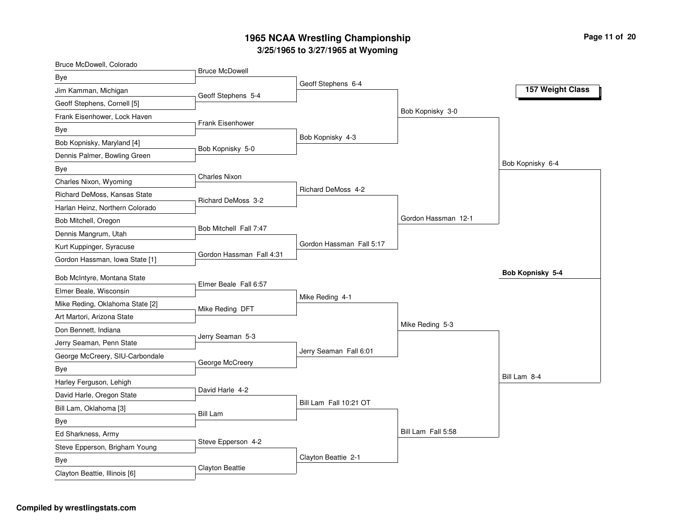| Bruce McDowell, Colorado        |                           |                          |                     |                  |
|---------------------------------|---------------------------|--------------------------|---------------------|------------------|
| Bye                             | <b>Bruce McDowell</b>     |                          |                     |                  |
| Jim Kamman, Michigan            | Geoff Stephens 5-4        | Geoff Stephens 6-4       |                     | 157 Weight Class |
| Geoff Stephens, Cornell [5]     |                           |                          |                     |                  |
| Frank Eisenhower, Lock Haven    |                           |                          | Bob Kopnisky 3-0    |                  |
| Bye                             | <b>Frank Eisenhower</b>   |                          |                     |                  |
| Bob Kopnisky, Maryland [4]      |                           | Bob Kopnisky 4-3         |                     |                  |
| Dennis Palmer, Bowling Green    | Bob Kopnisky 5-0          |                          |                     |                  |
| Bye                             |                           |                          |                     | Bob Kopnisky 6-4 |
| Charles Nixon, Wyoming          | <b>Charles Nixon</b>      |                          |                     |                  |
| Richard DeMoss, Kansas State    | <b>Richard DeMoss 3-2</b> | Richard DeMoss 4-2       |                     |                  |
| Harlan Heinz, Northern Colorado |                           |                          |                     |                  |
| Bob Mitchell, Oregon            |                           |                          | Gordon Hassman 12-1 |                  |
| Dennis Mangrum, Utah            | Bob Mitchell Fall 7:47    |                          |                     |                  |
| Kurt Kuppinger, Syracuse        |                           | Gordon Hassman Fall 5:17 |                     |                  |
| Gordon Hassman, Iowa State [1]  | Gordon Hassman Fall 4:31  |                          |                     |                  |
| Bob McIntyre, Montana State     |                           |                          |                     | Bob Kopnisky 5-4 |
| Elmer Beale, Wisconsin          | Elmer Beale Fall 6:57     |                          |                     |                  |
| Mike Reding, Oklahoma State [2] |                           | Mike Reding 4-1          |                     |                  |
| Art Martori, Arizona State      | Mike Reding DFT           |                          |                     |                  |
| Don Bennett, Indiana            |                           |                          | Mike Reding 5-3     |                  |
| Jerry Seaman, Penn State        | Jerry Seaman 5-3          |                          |                     |                  |
| George McCreery, SIU-Carbondale |                           | Jerry Seaman Fall 6:01   |                     |                  |
| Bye                             | George McCreery           |                          |                     |                  |
| Harley Ferguson, Lehigh         |                           |                          |                     | Bill Lam 8-4     |
| David Harle, Oregon State       | David Harle 4-2           |                          |                     |                  |
| Bill Lam, Oklahoma [3]          |                           | Bill Lam Fall 10:21 OT   |                     |                  |
| Bye                             | <b>Bill Lam</b>           |                          |                     |                  |
| Ed Sharkness, Army              |                           |                          | Bill Lam Fall 5:58  |                  |
| Steve Epperson, Brigham Young   | Steve Epperson 4-2        |                          |                     |                  |
| Bye                             |                           | Clayton Beattie 2-1      |                     |                  |
| $\sim$ December 1000 and 101    | Clayton Beattie           |                          |                     |                  |

Clayton Beattie, Illinois [6]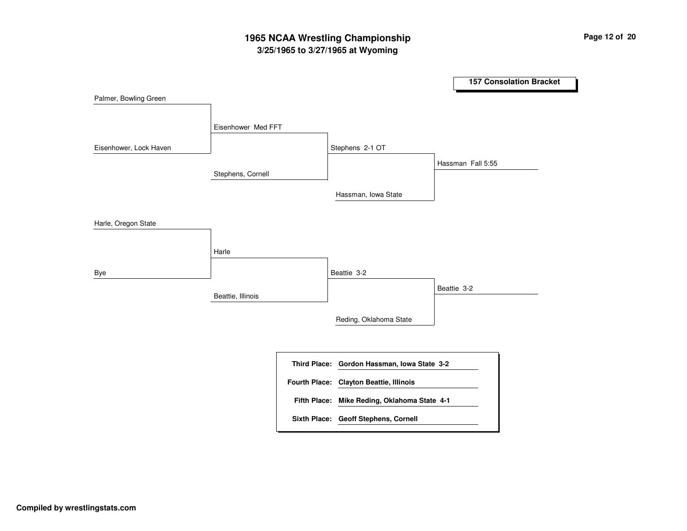## **3/25/1965 to 3/27/1965 at Wyoming 1965 NCAA Wrestling Championship Page <sup>12</sup> of <sup>20</sup>**

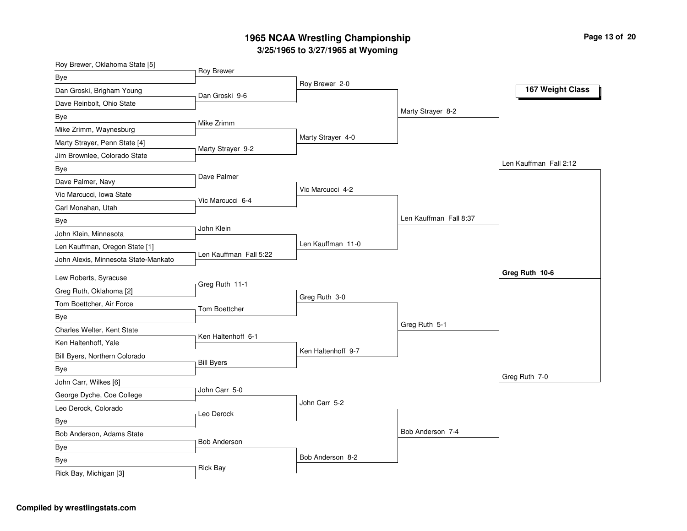| Roy Brewer, Oklahoma State [5]       |                        |                    |                        |                        |
|--------------------------------------|------------------------|--------------------|------------------------|------------------------|
| Bye                                  | Roy Brewer             | Roy Brewer 2-0     |                        |                        |
| Dan Groski, Brigham Young            | Dan Groski 9-6         |                    |                        | 167 Weight Class       |
| Dave Reinbolt, Ohio State            |                        |                    |                        |                        |
| Bye                                  |                        |                    | Marty Strayer 8-2      |                        |
| Mike Zrimm, Waynesburg               | Mike Zrimm             |                    |                        |                        |
| Marty Strayer, Penn State [4]        |                        | Marty Strayer 4-0  |                        |                        |
| Jim Brownlee, Colorado State         | Marty Strayer 9-2      |                    |                        |                        |
| Bye                                  |                        |                    |                        | Len Kauffman Fall 2:12 |
| Dave Palmer, Navy                    | Dave Palmer            |                    |                        |                        |
| Vic Marcucci, Iowa State             | Vic Marcucci 6-4       | Vic Marcucci 4-2   |                        |                        |
| Carl Monahan, Utah                   |                        |                    |                        |                        |
| Bye                                  |                        |                    | Len Kauffman Fall 8:37 |                        |
| John Klein, Minnesota                | John Klein             |                    |                        |                        |
| Len Kauffman, Oregon State [1]       |                        | Len Kauffman 11-0  |                        |                        |
| John Alexis, Minnesota State-Mankato | Len Kauffman Fall 5:22 |                    |                        |                        |
| Lew Roberts, Syracuse                |                        |                    |                        | Greg Ruth 10-6         |
| Greg Ruth, Oklahoma [2]              | Greg Ruth 11-1         |                    |                        |                        |
| Tom Boettcher, Air Force             | <b>Tom Boettcher</b>   | Greg Ruth 3-0      |                        |                        |
| Bye                                  |                        |                    |                        |                        |
| Charles Welter, Kent State           |                        |                    | Greg Ruth 5-1          |                        |
| Ken Haltenhoff, Yale                 | Ken Haltenhoff 6-1     |                    |                        |                        |
| Bill Byers, Northern Colorado        |                        | Ken Haltenhoff 9-7 |                        |                        |
| Bye                                  | <b>Bill Byers</b>      |                    |                        |                        |
| John Carr, Wilkes [6]                |                        |                    |                        | Greg Ruth 7-0          |
| George Dyche, Coe College            | John Carr 5-0          |                    |                        |                        |
| Leo Derock, Colorado                 | Leo Derock             | John Carr 5-2      |                        |                        |
| Bye                                  |                        |                    |                        |                        |
| Bob Anderson, Adams State            |                        |                    | Bob Anderson 7-4       |                        |
| Bye                                  | <b>Bob Anderson</b>    |                    |                        |                        |
| Bye                                  |                        | Bob Anderson 8-2   |                        |                        |
| Rick Bay, Michigan [3]               | <b>Rick Bay</b>        |                    |                        |                        |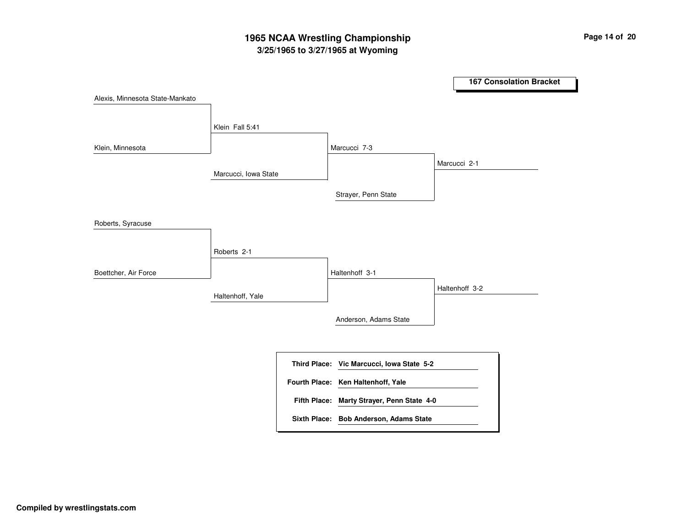## **3/25/1965 to 3/27/1965 at Wyoming 1965 NCAA Wrestling Championship Page <sup>14</sup> of <sup>20</sup>**

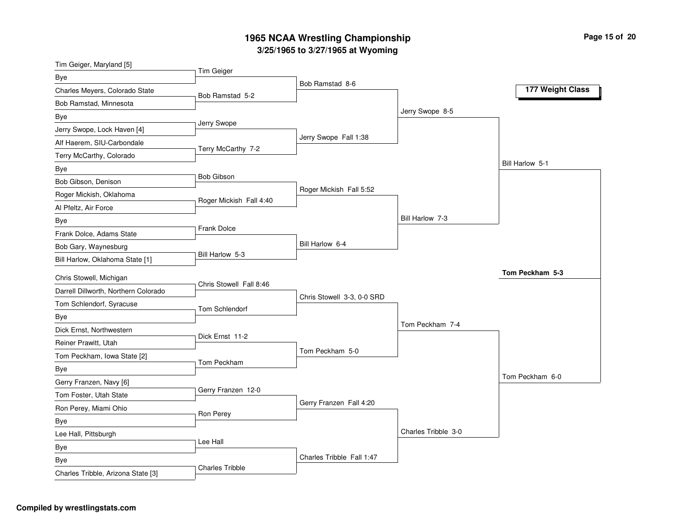| Tim Geiger, Maryland [5]             |                         |                            |                     |                  |
|--------------------------------------|-------------------------|----------------------------|---------------------|------------------|
| Bye                                  | Tim Geiger              |                            |                     |                  |
| Charles Meyers, Colorado State       | Bob Ramstad 5-2         | Bob Ramstad 8-6            |                     | 177 Weight Class |
| Bob Ramstad, Minnesota               |                         |                            |                     |                  |
| Bye                                  |                         |                            | Jerry Swope 8-5     |                  |
| Jerry Swope, Lock Haven [4]          | Jerry Swope             |                            |                     |                  |
| Alf Haerem, SIU-Carbondale           |                         | Jerry Swope Fall 1:38      |                     |                  |
| Terry McCarthy, Colorado             | Terry McCarthy 7-2      |                            |                     |                  |
| Bye                                  |                         |                            |                     | Bill Harlow 5-1  |
| Bob Gibson, Denison                  | <b>Bob Gibson</b>       |                            |                     |                  |
| Roger Mickish, Oklahoma              |                         | Roger Mickish Fall 5:52    |                     |                  |
| Al Pfeltz, Air Force                 | Roger Mickish Fall 4:40 |                            |                     |                  |
| Bye                                  |                         |                            | Bill Harlow 7-3     |                  |
| Frank Dolce, Adams State             | Frank Dolce             |                            |                     |                  |
| Bob Gary, Waynesburg                 |                         | Bill Harlow 6-4            |                     |                  |
| Bill Harlow, Oklahoma State [1]      | Bill Harlow 5-3         |                            |                     |                  |
| Chris Stowell, Michigan              |                         |                            |                     | Tom Peckham 5-3  |
| Darrell Dillworth, Northern Colorado | Chris Stowell Fall 8:46 |                            |                     |                  |
| Tom Schlendorf, Syracuse             | Tom Schlendorf          | Chris Stowell 3-3, 0-0 SRD |                     |                  |
| Bye                                  |                         |                            |                     |                  |
| Dick Ernst, Northwestern             |                         |                            | Tom Peckham 7-4     |                  |
| Reiner Prawitt, Utah                 | Dick Ernst 11-2         |                            |                     |                  |
| Tom Peckham, Iowa State [2]          |                         | Tom Peckham 5-0            |                     |                  |
| Bye                                  | Tom Peckham             |                            |                     |                  |
| Gerry Franzen, Navy [6]              |                         |                            |                     | Tom Peckham 6-0  |
| Tom Foster, Utah State               | Gerry Franzen 12-0      |                            |                     |                  |
| Ron Perey, Miami Ohio                |                         | Gerry Franzen Fall 4:20    |                     |                  |
| <b>Bye</b>                           | Ron Perey               |                            |                     |                  |
| Lee Hall, Pittsburgh                 |                         |                            | Charles Tribble 3-0 |                  |
| Bye                                  | Lee Hall                |                            |                     |                  |
| <b>Bye</b>                           |                         | Charles Tribble Fall 1:47  |                     |                  |
| Charles Tribble, Arizona State [3]   | <b>Charles Tribble</b>  |                            |                     |                  |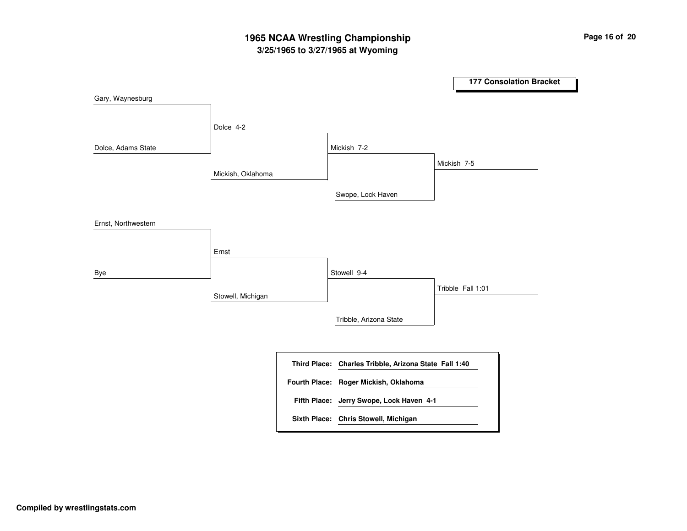## **3/25/1965 to 3/27/1965 at Wyoming 1965 NCAA Wrestling Championship Page <sup>16</sup> of <sup>20</sup>**

**177 Consolation Bracket** Mickish, Oklahoma Stowell, Michigan Dolce 4-2 Ernst Mickish 7-2 Stowell 9-4Swope, Lock Haven Tribble, Arizona State Mickish 7-5 Tribble Fall 1:01 Gary, Waynesburg Dolce, Adams State Ernst, Northwestern Bye **Charles Tribble, Arizona State Fall 1:40 Third Place: Jerry Swope, Lock Haven 4-1 Fifth Place: Fourth Place: Roger Mickish, Oklahoma Sixth Place: Chris Stowell, Michigan**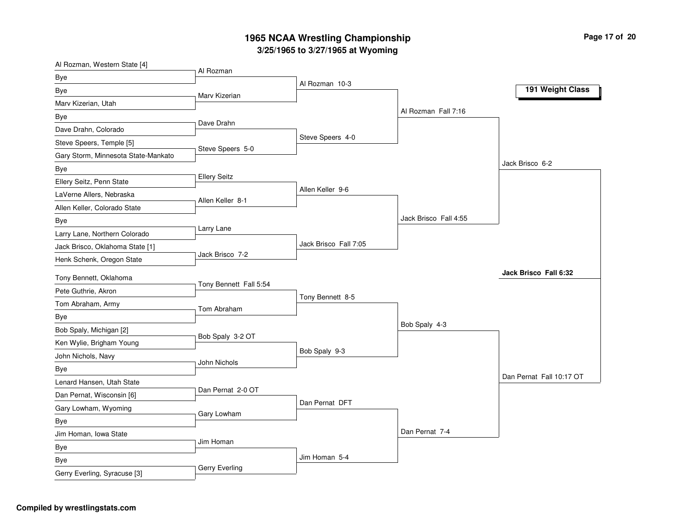| Al Rozman, Western State [4]        | Al Rozman              |                       |                       |                          |
|-------------------------------------|------------------------|-----------------------|-----------------------|--------------------------|
| Bye                                 |                        | Al Rozman 10-3        |                       |                          |
| Bye                                 | Marv Kizerian          |                       |                       | 191 Weight Class         |
| Marv Kizerian, Utah                 |                        |                       |                       |                          |
| Bye                                 | Dave Drahn             |                       | Al Rozman Fall 7:16   |                          |
| Dave Drahn, Colorado                |                        |                       |                       |                          |
| Steve Speers, Temple [5]            | Steve Speers 5-0       | Steve Speers 4-0      |                       |                          |
| Gary Storm, Minnesota State-Mankato |                        |                       |                       |                          |
| Bye                                 |                        |                       |                       | Jack Brisco 6-2          |
| Ellery Seitz, Penn State            | <b>Ellery Seitz</b>    |                       |                       |                          |
| LaVerne Allers, Nebraska            | Allen Keller 8-1       | Allen Keller 9-6      |                       |                          |
| Allen Keller, Colorado State        |                        |                       |                       |                          |
| Bye                                 |                        |                       | Jack Brisco Fall 4:55 |                          |
| Larry Lane, Northern Colorado       | Larry Lane             |                       |                       |                          |
| Jack Brisco, Oklahoma State [1]     |                        | Jack Brisco Fall 7:05 |                       |                          |
| Henk Schenk, Oregon State           | Jack Brisco 7-2        |                       |                       |                          |
| Tony Bennett, Oklahoma              |                        |                       |                       | Jack Brisco Fall 6:32    |
| Pete Guthrie, Akron                 | Tony Bennett Fall 5:54 |                       |                       |                          |
| Tom Abraham, Army                   |                        | Tony Bennett 8-5      |                       |                          |
| Bye                                 | Tom Abraham            |                       |                       |                          |
| Bob Spaly, Michigan [2]             |                        |                       | Bob Spaly 4-3         |                          |
| Ken Wylie, Brigham Young            | Bob Spaly 3-2 OT       |                       |                       |                          |
| John Nichols, Navy                  |                        | Bob Spaly 9-3         |                       |                          |
| Bye                                 | John Nichols           |                       |                       |                          |
| Lenard Hansen, Utah State           |                        |                       |                       | Dan Pernat Fall 10:17 OT |
| Dan Pernat, Wisconsin [6]           | Dan Pernat 2-0 OT      |                       |                       |                          |
| Gary Lowham, Wyoming                |                        | Dan Pernat DFT        |                       |                          |
| Bye                                 | Gary Lowham            |                       |                       |                          |
| Jim Homan, Iowa State               |                        |                       | Dan Pernat 7-4        |                          |
| Bye                                 | Jim Homan              |                       |                       |                          |
| Bye                                 |                        | Jim Homan 5-4         |                       |                          |
| Gerry Everling, Syracuse [3]        | Gerry Everling         |                       |                       |                          |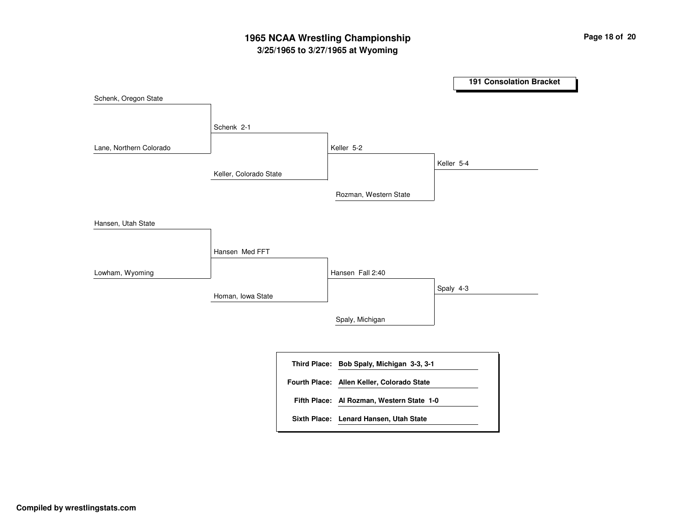## **3/25/1965 to 3/27/1965 at Wyoming 1965 NCAA Wrestling Championship Page <sup>18</sup> of <sup>20</sup>**

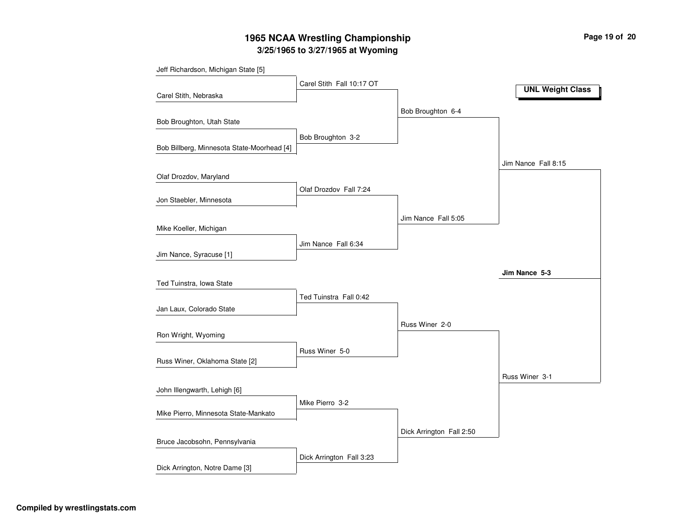## **3/25/1965 to 3/27/1965 at Wyoming 1965 NCAA Wrestling Championship Page <sup>19</sup> of <sup>20</sup>**

| Jeff Richardson, Michigan State [5]        |                           |                          |                         |
|--------------------------------------------|---------------------------|--------------------------|-------------------------|
|                                            | Carel Stith Fall 10:17 OT |                          | <b>UNL Weight Class</b> |
| Carel Stith, Nebraska                      |                           |                          |                         |
|                                            |                           | Bob Broughton 6-4        |                         |
| Bob Broughton, Utah State                  |                           |                          |                         |
|                                            | Bob Broughton 3-2         |                          |                         |
| Bob Billberg, Minnesota State-Moorhead [4] |                           |                          |                         |
|                                            |                           |                          | Jim Nance Fall 8:15     |
| Olaf Drozdov, Maryland                     |                           |                          |                         |
|                                            | Olaf Drozdov Fall 7:24    |                          |                         |
| Jon Staebler, Minnesota                    |                           |                          |                         |
|                                            |                           | Jim Nance Fall 5:05      |                         |
| Mike Koeller, Michigan                     |                           |                          |                         |
|                                            | Jim Nance Fall 6:34       |                          |                         |
| Jim Nance, Syracuse [1]                    |                           |                          |                         |
|                                            |                           |                          | Jim Nance 5-3           |
| Ted Tuinstra, Iowa State                   |                           |                          |                         |
|                                            | Ted Tuinstra Fall 0:42    |                          |                         |
| Jan Laux, Colorado State                   |                           |                          |                         |
| Ron Wright, Wyoming                        |                           | Russ Winer 2-0           |                         |
|                                            |                           |                          |                         |
| Russ Winer, Oklahoma State [2]             | Russ Winer 5-0            |                          |                         |
|                                            |                           |                          | Russ Winer 3-1          |
| John Illengwarth, Lehigh [6]               |                           |                          |                         |
|                                            | Mike Pierro 3-2           |                          |                         |
| Mike Pierro, Minnesota State-Mankato       |                           |                          |                         |
|                                            |                           | Dick Arrington Fall 2:50 |                         |
| Bruce Jacobsohn, Pennsylvania              |                           |                          |                         |
|                                            | Dick Arrington Fall 3:23  |                          |                         |
| Dick Arrington, Notre Dame [3]             |                           |                          |                         |